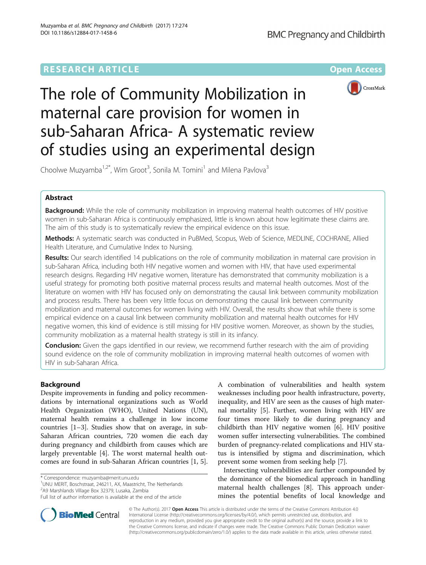# **RESEARCH ARTICLE Example 2014 12:30 The Contract of Contract ACCESS**



The role of Community Mobilization in maternal care provision for women in sub-Saharan Africa- A systematic review of studies using an experimental design

Choolwe Muzyamba<sup>1,2\*</sup>, Wim Groot<sup>3</sup>, Sonila M. Tomini<sup>1</sup> and Milena Pavlova<sup>3</sup>

## Abstract

**Background:** While the role of community mobilization in improving maternal health outcomes of HIV positive women in sub-Saharan Africa is continuously emphasized, little is known about how legitimate these claims are. The aim of this study is to systematically review the empirical evidence on this issue.

Methods: A systematic search was conducted in PuBMed, Scopus, Web of Science, MEDLINE, COCHRANE, Allied Health Literature, and Cumulative Index to Nursing.

Results: Our search identified 14 publications on the role of community mobilization in maternal care provision in sub-Saharan Africa, including both HIV negative women and women with HIV, that have used experimental research designs. Regarding HIV negative women, literature has demonstrated that community mobilization is a useful strategy for promoting both positive maternal process results and maternal health outcomes. Most of the literature on women with HIV has focused only on demonstrating the causal link between community mobilization and process results. There has been very little focus on demonstrating the causal link between community mobilization and maternal outcomes for women living with HIV. Overall, the results show that while there is some empirical evidence on a causal link between community mobilization and maternal health outcomes for HIV negative women, this kind of evidence is still missing for HIV positive women. Moreover, as shown by the studies, community mobilization as a maternal health strategy is still in its infancy.

**Conclusion:** Given the gaps identified in our review, we recommend further research with the aim of providing sound evidence on the role of community mobilization in improving maternal health outcomes of women with HIV in sub-Saharan Africa.

## Background

Despite improvements in funding and policy recommendations by international organizations such as World Health Organization (WHO), United Nations (UN), maternal health remains a challenge in low income countries [\[1](#page-11-0)–[3](#page-11-0)]. Studies show that on average, in sub-Saharan African countries, 720 women die each day during pregnancy and childbirth from causes which are largely preventable [\[4](#page-11-0)]. The worst maternal health outcomes are found in sub-Saharan African countries [\[1](#page-11-0), [5](#page-11-0)].

\* Correspondence: [muzyamba@merit.unu.edu](mailto:muzyamba@merit.unu.edu) <sup>1</sup>

<sup>1</sup>UNU MERIT, Boschstraat, 246211, AX, Maastricht, The Netherlands <sup>2</sup>A9 Marshlands Village Box 32379, Lusaka, Zambia

A combination of vulnerabilities and health system weaknesses including poor health infrastructure, poverty, inequality, and HIV are seen as the causes of high maternal mortality [\[5](#page-11-0)]. Further, women living with HIV are four times more likely to die during pregnancy and childbirth than HIV negative women [\[6](#page-11-0)]. HIV positive women suffer intersecting vulnerabilities. The combined burden of pregnancy-related complications and HIV status is intensified by stigma and discrimination, which prevent some women from seeking help [\[7](#page-11-0)].

Intersecting vulnerabilities are further compounded by the dominance of the biomedical approach in handling maternal health challenges [\[8](#page-11-0)]. This approach undermines the potential benefits of local knowledge and



© The Author(s). 2017 **Open Access** This article is distributed under the terms of the Creative Commons Attribution 4.0 International License [\(http://creativecommons.org/licenses/by/4.0/](http://creativecommons.org/licenses/by/4.0/)), which permits unrestricted use, distribution, and reproduction in any medium, provided you give appropriate credit to the original author(s) and the source, provide a link to the Creative Commons license, and indicate if changes were made. The Creative Commons Public Domain Dedication waiver [\(http://creativecommons.org/publicdomain/zero/1.0/](http://creativecommons.org/publicdomain/zero/1.0/)) applies to the data made available in this article, unless otherwise stated.

Full list of author information is available at the end of the article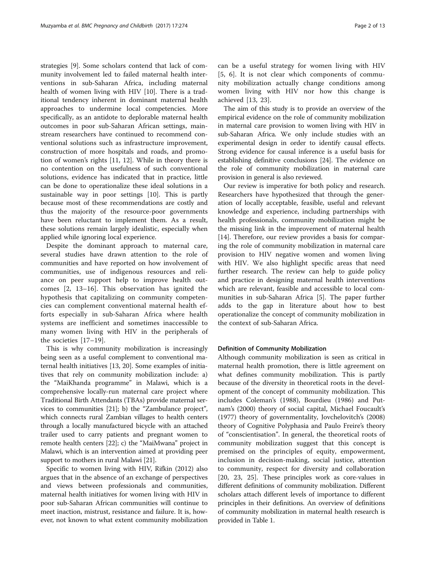strategies [[9\]](#page-11-0). Some scholars contend that lack of community involvement led to failed maternal health interventions in sub-Saharan Africa, including maternal health of women living with HIV [[10](#page-11-0)]. There is a traditional tendency inherent in dominant maternal health approaches to undermine local competencies. More specifically, as an antidote to deplorable maternal health outcomes in poor sub-Saharan African settings, mainstream researchers have continued to recommend conventional solutions such as infrastructure improvement, construction of more hospitals and roads, and promotion of women's rights [\[11](#page-11-0), [12\]](#page-11-0). While in theory there is no contention on the usefulness of such conventional solutions, evidence has indicated that in practice, little can be done to operationalize these ideal solutions in a sustainable way in poor settings [\[10\]](#page-11-0). This is partly because most of these recommendations are costly and thus the majority of the resource-poor governments have been reluctant to implement them. As a result, these solutions remain largely idealistic, especially when applied while ignoring local experience.

Despite the dominant approach to maternal care, several studies have drawn attention to the role of communities and have reported on how involvement of communities, use of indigenous resources and reliance on peer support help to improve health outcomes [\[2](#page-11-0), [13](#page-11-0)–[16\]](#page-11-0). This observation has ignited the hypothesis that capitalizing on community competencies can complement conventional maternal health efforts especially in sub-Saharan Africa where health systems are inefficient and sometimes inaccessible to many women living with HIV in the peripherals of the societies [[17](#page-11-0)–[19\]](#page-11-0).

This is why community mobilization is increasingly being seen as a useful complement to conventional maternal health initiatives [\[13](#page-11-0), [20\]](#page-11-0). Some examples of initiatives that rely on community mobilization include: a) the "MaiKhanda programme" in Malawi, which is a comprehensive locally-run maternal care project where Traditional Birth Attendants (TBAs) provide maternal services to communities [[21](#page-11-0)]; b) the "Zambulance project", which connects rural Zambian villages to health centers through a locally manufactured bicycle with an attached trailer used to carry patients and pregnant women to remote health centers [\[22\]](#page-11-0); c) the "MaiMwana" project in Malawi, which is an intervention aimed at providing peer support to mothers in rural Malawi [\[21\]](#page-11-0).

Specific to women living with HIV, Rifkin (2012) also argues that in the absence of an exchange of perspectives and views between professionals and communities, maternal health initiatives for women living with HIV in poor sub-Saharan African communities will continue to meet inaction, mistrust, resistance and failure. It is, however, not known to what extent community mobilization

can be a useful strategy for women living with HIV [[5](#page-11-0), [6](#page-11-0)]. It is not clear which components of community mobilization actually change conditions among women living with HIV nor how this change is achieved [[13, 23](#page-11-0)].

The aim of this study is to provide an overview of the empirical evidence on the role of community mobilization in maternal care provision to women living with HIV in sub-Saharan Africa. We only include studies with an experimental design in order to identify causal effects. Strong evidence for causal inference is a useful basis for establishing definitive conclusions [\[24](#page-11-0)]. The evidence on the role of community mobilization in maternal care provision in general is also reviewed.

Our review is imperative for both policy and research. Researchers have hypothesized that through the generation of locally acceptable, feasible, useful and relevant knowledge and experience, including partnerships with health professionals, community mobilization might be the missing link in the improvement of maternal health [[14\]](#page-11-0). Therefore, our review provides a basis for comparing the role of community mobilization in maternal care provision to HIV negative women and women living with HIV. We also highlight specific areas that need further research. The review can help to guide policy and practice in designing maternal health interventions which are relevant, feasible and accessible to local communities in sub-Saharan Africa [\[5\]](#page-11-0). The paper further adds to the gap in literature about how to best operationalize the concept of community mobilization in the context of sub-Saharan Africa.

### Definition of Community Mobilization

Although community mobilization is seen as critical in maternal health promotion, there is little agreement on what defines community mobilization. This is partly because of the diversity in theoretical roots in the development of the concept of community mobilization. This includes Coleman's (1988), Bourdieu (1986) and Putnam's (2000) theory of social capital, Michael Foucault's (1977) theory of governmentality, Jovchelovitch's (2008) theory of Cognitive Polyphasia and Paulo Freire's theory of "conscientisation". In general, the theoretical roots of community mobilization suggest that this concept is premised on the principles of equity, empowerment, inclusion in decision-making, social justice, attention to community, respect for diversity and collaboration [[20, 23, 25\]](#page-11-0). These principles work as core-values in different definitions of community mobilization. Different scholars attach different levels of importance to different principles in their definitions. An overview of definitions of community mobilization in maternal health research is provided in Table [1](#page-2-0).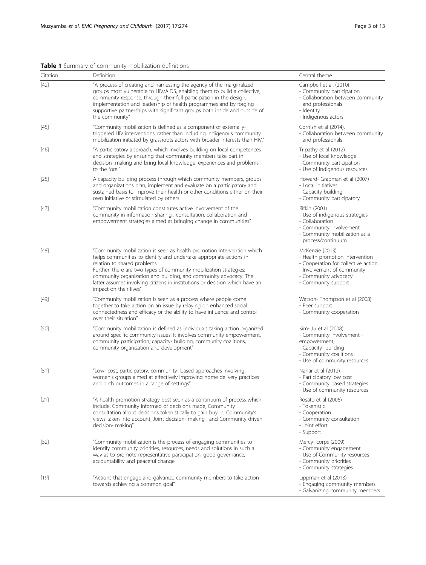## <span id="page-2-0"></span>Table 1 Summary of community mobilization definitions

| Citation | Definition                                                                                                                                                                                                                                                                                                                                                                                                                      | Central theme                                                                                                                                                          |
|----------|---------------------------------------------------------------------------------------------------------------------------------------------------------------------------------------------------------------------------------------------------------------------------------------------------------------------------------------------------------------------------------------------------------------------------------|------------------------------------------------------------------------------------------------------------------------------------------------------------------------|
| $[42]$   | "A process of creating and harnessing the agency of the marginalized<br>groups most vulnerable to HIV/AIDS, enabling them to build a collective,<br>community response, through their full participation in the design,<br>implementation and leadership of health programmes and by forging<br>supportive partnerships with significant groups both inside and outside of<br>the community"                                    | Campbell et al. (2010)<br>- Community participation<br>- Collaboration between community<br>and professionals<br>- Identity<br>- Indigenous actors                     |
| $[45]$   | "Community mobilization is defined as a component of externally-<br>triggered HIV interventions, rather than including indigenous community<br>mobilization initiated by grassroots actors with broader interests than HIV."                                                                                                                                                                                                    | Cornish et al (2014).<br>- Collaboration between community<br>and professionals                                                                                        |
| [46]     | "A participatory approach, which involves building on local competences<br>and strategies by ensuring that community members take part in<br>decision- making and bring local knowledge, experiences and problems<br>to the fore."                                                                                                                                                                                              | Tripathy et al (2012)<br>- Use of local knowledge<br>- Community participation<br>- Use of indigenous resources                                                        |
| $[25]$   | A capacity building process through which community members, groups<br>and organizations plan, implement and evaluate on a participatory and<br>sustained basis to improve their health or other conditions either on their<br>own initiative or stimulated by others                                                                                                                                                           | Howard- Grabman et al (2007)<br>- Local initiatives<br>- Capacity building<br>- Community participatory                                                                |
| $[47]$   | "Community mobilization constitutes active involvement of the<br>community in information sharing, consultation, collaboration and<br>empowerment strategies aimed at bringing change in communities"                                                                                                                                                                                                                           | Rifkin (2001)<br>- Use of indigenous strategies<br>- Collaboration<br>- Community involvement<br>- Community mobilization as a<br>process/continuum                    |
| $[48]$   | "Community mobilization is seen as health promotion intervention which<br>helps communities to identify and undertake appropriate actions in<br>relation to shared problems.<br>Further, there are two types of community mobilization strategies:<br>community organization and building, and community advocacy. The<br>latter assumes involving citizens in institutions or decision which have an<br>impact on their lives" | McKenzie (2013)<br>- Health promotion intervention<br>- Cooperation for collective action<br>- Involvement of community<br>- Community advocacy<br>- Community support |
| $[49]$   | "Community mobilization is seen as a process where people come<br>together to take action on an issue by relaying on enhanced social<br>connectedness and efficacy or the ability to have influence and control<br>over their situation"                                                                                                                                                                                        | Watson-Thompson et al (2008)<br>- Peer support<br>- Community cooperation                                                                                              |
| $[50]$   | "Community mobilization is defined as individuals taking action organized<br>around specific community issues. It involves community empowerment,<br>community participation, capacity- building, community coalitions,<br>community organization and development"                                                                                                                                                              | Kim- Ju et al (2008)<br>- Community involvement -<br>empowerment,<br>- Capacity- building<br>- Community coalitions<br>- Use of community resources                    |
| $[51]$   | "Low- cost, participatory, community- based approaches involving<br>women's groups aimed at effectively improving home delivery practices<br>and birth outcomes in a range of settings"                                                                                                                                                                                                                                         | Nahar et al (2012)<br>- Participatory low cost<br>- Community based strategies<br>- Use of community resources                                                         |
| $[21]$   | "A health promotion strategy best seen as a continuum of process which<br>include, Community informed of decisions made, Community<br>consultation about decisions tokenistically to gain buy in, Community's<br>views taken into account, Joint decision- making, and Community driven<br>decision- making"                                                                                                                    | Rosato et al (2006)<br>- Tokenistic<br>- Cooperation<br>- Community consultation<br>- Joint effort<br>- Support                                                        |
| $[52]$   | "Community mobilization is the process of engaging communities to<br>identify community priorities, resources, needs and solutions in such a<br>way as to promote representative participation, good governance,<br>accountability and peaceful change"                                                                                                                                                                         | Mercy-corps (2009)<br>- Community engagement<br>- Use of Community resources<br>- Community priorities<br>- Community strategies                                       |
| $[19]$   | "Actions that engage and galvanize community members to take action<br>towards achieving a common goal"                                                                                                                                                                                                                                                                                                                         | Lippman et al (2013)<br>- Engaging community members<br>- Galvanizing community members                                                                                |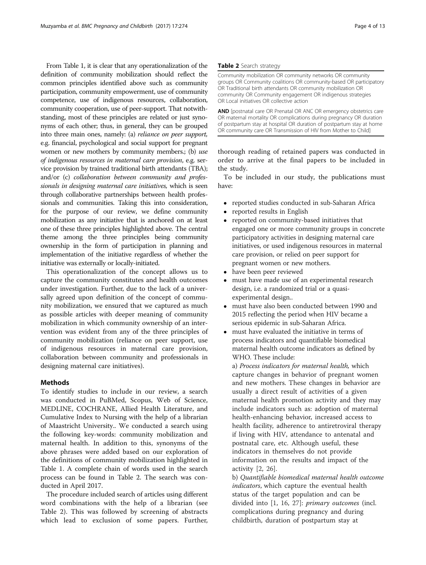From Table [1](#page-2-0), it is clear that any operationalization of the definition of community mobilization should reflect the common principles identified above such as community participation, community empowerment, use of community competence, use of indigenous resources, collaboration, community cooperation, use of peer-support. That notwithstanding, most of these principles are related or just synonyms of each other; thus, in general, they can be grouped into three main ones, namely: (a) reliance on peer support, e.g. financial, psychological and social support for pregnant women or new mothers by community members.; (b) use of indigenous resources in maternal care provision, e.g. service provision by trained traditional birth attendants (TBA); and/or (c) collaboration between community and professionals in designing maternal care initiatives, which is seen through collaborative partnerships between health professionals and communities. Taking this into consideration, for the purpose of our review, we define community mobilization as any initiative that is anchored on at least one of these three principles highlighted above. The central theme among the three principles being community ownership in the form of participation in planning and implementation of the initiative regardless of whether the initiative was externally or locally-initiated.

This operationalization of the concept allows us to capture the community constitutes and health outcomes under investigation. Further, due to the lack of a universally agreed upon definition of the concept of community mobilization, we ensured that we captured as much as possible articles with deeper meaning of community mobilization in which community ownership of an intervention was evident from any of the three principles of community mobilization (reliance on peer support, use of indigenous resources in maternal care provision, collaboration between community and professionals in designing maternal care initiatives).

## Methods

To identify studies to include in our review, a search was conducted in PuBMed, Scopus, Web of Science, MEDLINE, COCHRANE, Allied Health Literature, and Cumulative Index to Nursing with the help of a librarian of Maastricht University.. We conducted a search using the following key-words: community mobilization and maternal health. In addition to this, synonyms of the above phrases were added based on our exploration of the definitions of community mobilization highlighted in Table [1.](#page-2-0) A complete chain of words used in the search process can be found in Table 2. The search was conducted in April 2017.

The procedure included search of articles using different word combinations with the help of a librarian (see Table 2). This was followed by screening of abstracts which lead to exclusion of some papers. Further,

### Table 2 Search strategy

Community mobilization OR community networks OR community groups OR Community coalitions OR community-based OR participatory OR Traditional birth attendants OR community mobilization OR community OR Community engagement OR indigenous strategies OR Local initiatives OR collective action

AND [postnatal care OR Prenatal OR ANC OR emergency obstetrics care OR maternal mortality OR complications during pregnancy OR duration of postpartum stay at hospital OR duration of postpartum stay at home OR community care OR Transmission of HIV from Mother to Child]

thorough reading of retained papers was conducted in order to arrive at the final papers to be included in the study.

To be included in our study, the publications must have:

- reported studies conducted in sub-Saharan Africa
- reported results in English
- reported on community-based initiatives that engaged one or more community groups in concrete participatory activities in designing maternal care initiatives, or used indigenous resources in maternal care provision, or relied on peer support for pregnant women or new mothers.
- have been peer reviewed
- must have made use of an experimental research design, i.e. a randomized trial or a quasiexperimental design..
- must have also been conducted between 1990 and 2015 reflecting the period when HIV became a serious epidemic in sub-Saharan Africa.
- must have evaluated the initiative in terms of process indicators and quantifiable biomedical maternal health outcome indicators as defined by WHO. These include:

a) Process indicators for maternal health, which capture changes in behavior of pregnant women and new mothers. These changes in behavior are usually a direct result of activities of a given maternal health promotion activity and they may include indicators such as: adoption of maternal health-enhancing behavior, increased access to health facility, adherence to antiretroviral therapy if living with HIV, attendance to antenatal and postnatal care, etc. Although useful, these indicators in themselves do not provide information on the results and impact of the activity [\[2](#page-11-0), [26](#page-11-0)].

b) Quantifiable biomedical maternal health outcome indicators, which capture the eventual health status of the target population and can be divided into [[1,](#page-11-0) [16,](#page-11-0) [27\]](#page-11-0): primary outcomes (incl. complications during pregnancy and during childbirth, duration of postpartum stay at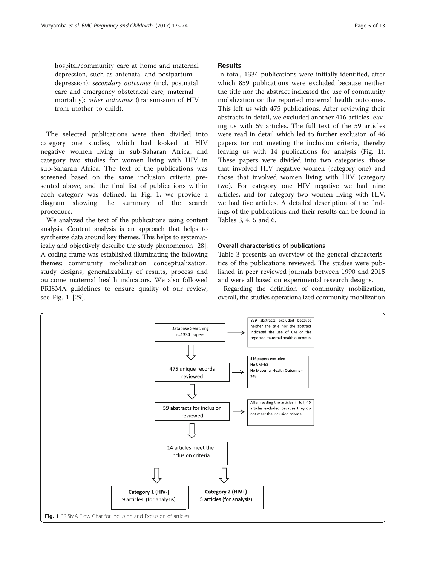hospital/community care at home and maternal depression, such as antenatal and postpartum depression); secondary outcomes (incl. postnatal care and emergency obstetrical care, maternal mortality); other outcomes (transmission of HIV from mother to child).

The selected publications were then divided into category one studies, which had looked at HIV negative women living in sub-Saharan Africa, and category two studies for women living with HIV in sub-Saharan Africa. The text of the publications was screened based on the same inclusion criteria presented above, and the final list of publications within each category was defined. In Fig. 1, we provide a diagram showing the summary of the search procedure.

We analyzed the text of the publications using content analysis. Content analysis is an approach that helps to synthesize data around key themes. This helps to systematically and objectively describe the study phenomenon [\[28](#page-11-0)]. A coding frame was established illuminating the following themes: community mobilization conceptualization, study designs, generalizability of results, process and outcome maternal health indicators. We also followed PRISMA guidelines to ensure quality of our review, see Fig. 1 [\[29](#page-11-0)].

## Results

In total, 1334 publications were initially identified, after which 859 publications were excluded because neither the title nor the abstract indicated the use of community mobilization or the reported maternal health outcomes. This left us with 475 publications. After reviewing their abstracts in detail, we excluded another 416 articles leaving us with 59 articles. The full text of the 59 articles were read in detail which led to further exclusion of 46 papers for not meeting the inclusion criteria, thereby leaving us with 14 publications for analysis (Fig. 1). These papers were divided into two categories: those that involved HIV negative women (category one) and those that involved women living with HIV (category two). For category one HIV negative we had nine articles, and for category two women living with HIV, we had five articles. A detailed description of the findings of the publications and their results can be found in Tables [3](#page-5-0), [4](#page-5-0), [5](#page-6-0) and [6](#page-7-0).

## Overall characteristics of publications

Table [3](#page-5-0) presents an overview of the general characteristics of the publications reviewed. The studies were published in peer reviewed journals between 1990 and 2015 and were all based on experimental research designs.

Regarding the definition of community mobilization, overall, the studies operationalized community mobilization

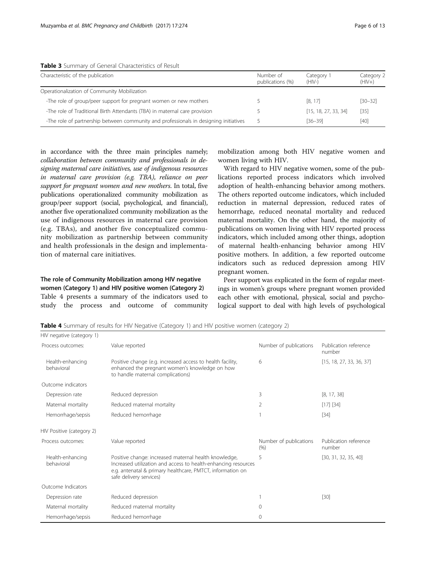<span id="page-5-0"></span>Table 3 Summary of General Characteristics of Result

| Characteristic of the publication                                                     | Number of<br>publications (%) | Category 1<br>$(HIV-)$ | Category 2<br>$(HIV+)$ |
|---------------------------------------------------------------------------------------|-------------------------------|------------------------|------------------------|
| Operationalization of Community Mobilization                                          |                               |                        |                        |
| -The role of group/peer support for pregnant women or new mothers                     |                               | [8, 17]                | $[30 - 32]$            |
| -The role of Traditional Birth Attendants (TBA) in maternal care provision            |                               | [15, 18, 27, 33, 34]   | $[35]$                 |
| -The role of partnership between community and professionals in designing initiatives |                               | $[36 - 39]$            | $[40]$                 |

in accordance with the three main principles namely; collaboration between community and professionals in designing maternal care initiatives, use of indigenous resources in maternal care provision (e.g. TBA), reliance on peer support for pregnant women and new mothers. In total, five publications operationalized community mobilization as group/peer support (social, psychological, and financial), another five operationalized community mobilization as the use of indigenous resources in maternal care provision (e.g. TBAs), and another five conceptualized community mobilization as partnership between community and health professionals in the design and implementation of maternal care initiatives.

## The role of Community Mobilization among HIV negative women (Category 1) and HIV positive women (Category 2) Table 4 presents a summary of the indicators used to study the process and outcome of community

mobilization among both HIV negative women and women living with HIV.

With regard to HIV negative women, some of the publications reported process indicators which involved adoption of health-enhancing behavior among mothers. The others reported outcome indicators, which included reduction in maternal depression, reduced rates of hemorrhage, reduced neonatal mortality and reduced maternal mortality. On the other hand, the majority of publications on women living with HIV reported process indicators, which included among other things, adoption of maternal health-enhancing behavior among HIV positive mothers. In addition, a few reported outcome indicators such as reduced depression among HIV pregnant women.

Peer support was explicated in the form of regular meetings in women's groups where pregnant women provided each other with emotional, physical, social and psychological support to deal with high levels of psychological

**Table 4** Summary of results for HIV Negative (Category 1) and HIV positive women (category 2)

| HIV negative (category 1)      |                                                                                                                                                                                                                  |                                |                                 |
|--------------------------------|------------------------------------------------------------------------------------------------------------------------------------------------------------------------------------------------------------------|--------------------------------|---------------------------------|
| Process outcomes:              | Value reported                                                                                                                                                                                                   | Number of publications         | Publication reference<br>number |
| Health-enhancing<br>behavioral | Positive change (e.g. increased access to health facility,<br>enhanced the pregnant women's knowledge on how<br>to handle maternal complications)                                                                | 6                              | [15, 18, 27, 33, 36, 37]        |
| Outcome indicators             |                                                                                                                                                                                                                  |                                |                                 |
| Depression rate                | Reduced depression                                                                                                                                                                                               | 3                              | [8, 17, 38]                     |
| Maternal mortality             | Reduced maternal mortality                                                                                                                                                                                       | 2                              | [17] [34]                       |
| Hemorrhage/sepsis              | Reduced hemorrhage                                                                                                                                                                                               |                                | $[34]$                          |
| HIV Positive (category 2)      |                                                                                                                                                                                                                  |                                |                                 |
| Process outcomes:              | Value reported                                                                                                                                                                                                   | Number of publications<br>(% ) | Publication reference<br>number |
| Health-enhancing<br>behavioral | Positive change: increased maternal health knowledge,<br>Increased utilization and access to health-enhancing resources<br>e.g. antenatal & primary healthcare, PMTCT, information on<br>safe delivery services) | 5                              | [30, 31, 32, 35, 40]            |
| Outcome Indicators             |                                                                                                                                                                                                                  |                                |                                 |
| Depression rate                | Reduced depression                                                                                                                                                                                               |                                | $[30]$                          |
| Maternal mortality             | Reduced maternal mortality                                                                                                                                                                                       | 0                              |                                 |
| Hemorrhage/sepsis              | Reduced hemorrhage                                                                                                                                                                                               | $\Omega$                       |                                 |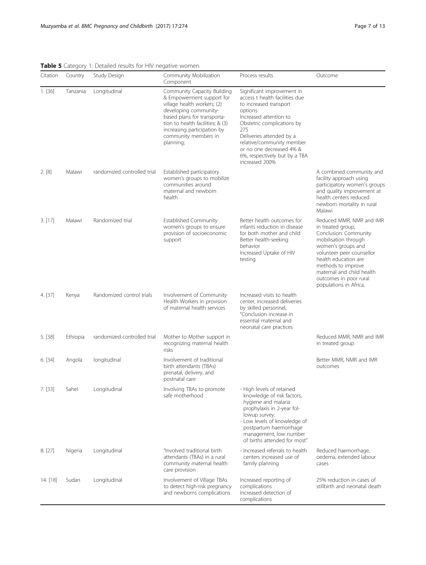<span id="page-6-0"></span>

| Citation | Country  | Study Design                | Community Mobilization<br>Component                                                                                                                                                                                                                     | Process results                                                                                                                                                                                                                                                                                          | Outcome                                                                                                                                                                                                                                                                          |
|----------|----------|-----------------------------|---------------------------------------------------------------------------------------------------------------------------------------------------------------------------------------------------------------------------------------------------------|----------------------------------------------------------------------------------------------------------------------------------------------------------------------------------------------------------------------------------------------------------------------------------------------------------|----------------------------------------------------------------------------------------------------------------------------------------------------------------------------------------------------------------------------------------------------------------------------------|
| 1. [36]  | Tanzania | Longitudinal                | Community Capacity Building<br>& Empowerment support for<br>village health workers; (2)<br>developing community-<br>based plans for transporta-<br>tion to health facilities; & (3)<br>increasing participation by<br>community members in<br>planning; | Significant improvement in<br>access t health facilities due<br>to increased transport<br>options<br>Increased attention to<br>Obstetric complications by<br>275<br>Deliveries attended by a<br>relative/community member<br>or no one decreased 4% &<br>6%, respectively but by a TBA<br>increased 200% |                                                                                                                                                                                                                                                                                  |
| 2. [8]   | Malawi   | randomized controlled trial | Established participatory<br>women's groups to mobilize<br>communities around<br>maternal and newborn<br>health                                                                                                                                         |                                                                                                                                                                                                                                                                                                          | A combined community and<br>facility approach using<br>participatory women's groups<br>and quality improvement at<br>health centers reduced<br>newborn mortality in rural<br>Malawi                                                                                              |
| 3. [17]  | Malawi   | Randomized trial            | <b>Established Community</b><br>women's groups to ensure<br>provision of socioeconomic<br>support                                                                                                                                                       | Better health outcomes for<br>infants reduction in disease<br>for both mother and child<br>Better health-seeking<br>behavior<br>Increased Uptake of HIV<br>testing                                                                                                                                       | Reduced MMR, NMR and IMR<br>in treated group,<br>Conclusion: Community<br>mobilisation through<br>women's groups and<br>volunteer peer counsellor<br>health education are<br>methods to improve<br>maternal and child health<br>outcomes in poor rural<br>populations in Africa. |
| 4. [37]  | Kenya    | Randomized control trials   | Involvement of Community<br>Health Workers in provision<br>of maternal health services                                                                                                                                                                  | Increased visits to health<br>center, increased deliveries<br>by skilled personnel,<br>"Conclusion increase in<br>essential maternal and<br>neonatal care practices                                                                                                                                      |                                                                                                                                                                                                                                                                                  |
| 5. [38]  | Ethiopia | randomized controlled trial | Mother to Mother support in<br>recognizing maternal health<br>risks                                                                                                                                                                                     |                                                                                                                                                                                                                                                                                                          | Reduced MMR, NMR and IMR<br>in treated group                                                                                                                                                                                                                                     |
| 6. [34]  | Angola   | longitudinal                | Involvement of traditional<br>birth attendants (TBAs)<br>prenatal, delivery, and<br>postnatal care                                                                                                                                                      |                                                                                                                                                                                                                                                                                                          | Better MMR, NMR and IMR<br>outcomes                                                                                                                                                                                                                                              |
| 7. [33]  | Sahel    | Longitudinal                | Involving TBAs to promote<br>safe motherhood                                                                                                                                                                                                            | - High levels of retained<br>knowledge of risk factors,<br>hygiene and malaria<br>prophylaxis in 2-year fol-<br>lowup survey.<br>- Low levels of knowledge of<br>postpartum haemorrhage<br>management, low number<br>of births attended for most"                                                        |                                                                                                                                                                                                                                                                                  |
| 8. [27]  | Nigeria  | Longitudinal                | "Involved traditional birth<br>attendants (TBAs) in a rural<br>community maternal health<br>care provision                                                                                                                                              | - Increased referrals to health<br>centers increased use of<br>family planning                                                                                                                                                                                                                           | Reduced haemorrhage,<br>oedema, extended labour<br>cases                                                                                                                                                                                                                         |
| 14. [18] | Sudan    | Longitudinal                | Involvement of Village TBAs<br>to detect high-risk pregnancy<br>and newborns complications                                                                                                                                                              | Increased reporting of<br>complications<br>Increased detection of<br>complications                                                                                                                                                                                                                       | 25% reduction in cases of<br>stillbirth and neonatal death                                                                                                                                                                                                                       |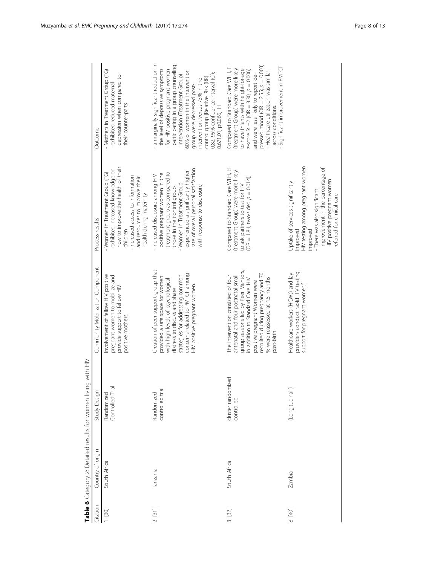<span id="page-7-0"></span>

|          | Table 6 Category 2: Detailed results for women living | with HIV                         |                                                                                                                                                                                                                                                                             |                                                                                                                                                                                                                                                                                |                                                                                                                                                                                                                                                                                                                                                                                                |
|----------|-------------------------------------------------------|----------------------------------|-----------------------------------------------------------------------------------------------------------------------------------------------------------------------------------------------------------------------------------------------------------------------------|--------------------------------------------------------------------------------------------------------------------------------------------------------------------------------------------------------------------------------------------------------------------------------|------------------------------------------------------------------------------------------------------------------------------------------------------------------------------------------------------------------------------------------------------------------------------------------------------------------------------------------------------------------------------------------------|
| Citation | Country of origin                                     | Study Design                     | Community Mobilization Component                                                                                                                                                                                                                                            | Process results                                                                                                                                                                                                                                                                | Outcome                                                                                                                                                                                                                                                                                                                                                                                        |
| 1. [30]  | South Africa                                          | Controlled Trial<br>Randomized   | Involvement of fellow HIV positive<br>pregnant women to mobilize and<br>provide support to fellow HIV<br>positive mothers.                                                                                                                                                  | how to improve the health of their<br>exhibited Increased knowledge on<br>- Women in Treatment Group (TG)<br>- Increased access to information<br>and resources to improve their<br>health during maternity<br>children                                                        | - Mothers in Treatment Group (TG)<br>depression when compared to<br>exhibited reduced maternal<br>their counter-parts                                                                                                                                                                                                                                                                          |
| 2. [31]  | Tanzania                                              | controlled trial<br>Randomized   | Creation of peer support group that<br>concerns related to PMTCT among<br>strategies for addressing common<br>provided a safe space for women<br>with high levels of psychological<br>HIV positive pregnant women<br>distress to discuss and share                          | rate of overall personal satisfaction<br>experienced a significantly higher<br>treatment group as compared to<br>positive pregnant women in the<br>- Increased disclosure among HIV<br>Women in Treatment Group<br>with response to disclosure,<br>those in the control group. | a marginally significant reduction in<br>participating in a group counseling<br>the level of depressive symptoms<br>for HIV-positive pregnant women<br>60% of women in the intervention<br>0.82, 95% confidence interval (CI):<br>intervention (Treatment Group)<br>control group [Relative Risk (RR)<br>intervention, versus 73% in the<br>group were depressed post-<br>0.671.01, p0.066]. H |
| 3. [32]  | South Africa                                          | cluster randomized<br>controlled | group sessions led by Peer Mentors,<br>recruited during pregnancy and 70<br>The intervention consisted of four<br>antenatal and four postnatal small<br>% were reassessed at 1.5 months<br>in addition to Standard Care. HIV<br>positive pregnant Women were<br>post-birth. | Compared to Standard Care WLH, El<br>(treatment Group) were more likely<br>(OR = 1.84; two-sided $p = 0.014$ ),<br>to ask partners to test for HIV                                                                                                                             | pressed mood (OR = $2.55; p = 0.003$ ).<br>Compared to Standard Care WLH, El<br>- Significant improvement in PMTCT<br>(treatment Group) were more likely<br>to have infants with height-for-age<br>$z$ -score $\ge -2$ (OR = 3.30; $p = 0.006$ )<br>- Healthcare utilization was similar<br>and were less likely to report de-<br>across conditions.                                           |
| 8. [40]  | Zambia                                                | (Longitudinal)                   | providers conduct rapid HIV testing.<br>Healthcare workers (HCWs) and lay<br>support for pregnant women,                                                                                                                                                                    | HIV testing among pregnant women<br>improvement in the percentage of<br>HIV positive pregnant women<br>Uptake of services significantly<br>- There was also significant<br>referred for clinical care<br>improved<br>improved                                                  |                                                                                                                                                                                                                                                                                                                                                                                                |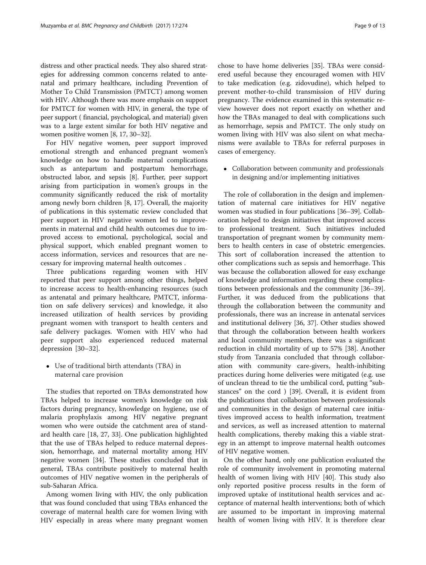distress and other practical needs. They also shared strategies for addressing common concerns related to antenatal and primary healthcare, including Prevention of Mother To Child Transmission (PMTCT) among women with HIV. Although there was more emphasis on support for PMTCT for women with HIV, in general, the type of peer support ( financial, psychological, and material) given was to a large extent similar for both HIV negative and women positive women [\[8](#page-11-0), [17](#page-11-0), [30](#page-11-0)–[32](#page-11-0)].

For HIV negative women, peer support improved emotional strength and enhanced pregnant women's knowledge on how to handle maternal complications such as antepartum and postpartum hemorrhage, obstructed labor, and sepsis [\[8\]](#page-11-0). Further, peer support arising from participation in women's groups in the community significantly reduced the risk of mortality among newly born children [[8, 17\]](#page-11-0). Overall, the majority of publications in this systematic review concluded that peer support in HIV negative women led to improvements in maternal and child health outcomes due to improved access to emotional, psychological, social and physical support, which enabled pregnant women to access information, services and resources that are necessary for improving maternal health outcomes .

Three publications regarding women with HIV reported that peer support among other things, helped to increase access to health-enhancing resources (such as antenatal and primary healthcare, PMTCT, information on safe delivery services) and knowledge, it also increased utilization of health services by providing pregnant women with transport to health centers and safe delivery packages. Women with HIV who had peer support also experienced reduced maternal depression [\[30](#page-11-0)–[32](#page-11-0)].

 Use of traditional birth attendants (TBA) in maternal care provision

The studies that reported on TBAs demonstrated how TBAs helped to increase women's knowledge on risk factors during pregnancy, knowledge on hygiene, use of malaria prophylaxis among HIV negative pregnant women who were outside the catchment area of standard health care [\[18](#page-11-0), [27, 33\]](#page-11-0). One publication highlighted that the use of TBAs helped to reduce maternal depression, hemorrhage, and maternal mortality among HIV negative women [[34\]](#page-11-0). These studies concluded that in general, TBAs contribute positively to maternal health outcomes of HIV negative women in the peripherals of sub-Saharan Africa.

Among women living with HIV, the only publication that was found concluded that using TBAs enhanced the coverage of maternal health care for women living with HIV especially in areas where many pregnant women

chose to have home deliveries [[35\]](#page-11-0). TBAs were considered useful because they encouraged women with HIV to take medication (e.g. zidovudine), which helped to prevent mother-to-child transmission of HIV during pregnancy. The evidence examined in this systematic review however does not report exactly on whether and how the TBAs managed to deal with complications such as hemorrhage, sepsis and PMTCT. The only study on women living with HIV was also silent on what mechanisms were available to TBAs for referral purposes in cases of emergency.

 Collaboration between community and professionals in designing and/or implementing initiatives

The role of collaboration in the design and implementation of maternal care initiatives for HIV negative women was studied in four publications [[36](#page-11-0)–[39](#page-11-0)]. Collaboration helped to design initiatives that improved access to professional treatment. Such initiatives included transportation of pregnant women by community members to health centers in case of obstetric emergencies. This sort of collaboration increased the attention to other complications such as sepsis and hemorrhage. This was because the collaboration allowed for easy exchange of knowledge and information regarding these complications between professionals and the community [[36](#page-11-0)–[39](#page-11-0)]. Further, it was deduced from the publications that through the collaboration between the community and professionals, there was an increase in antenatal services and institutional delivery [\[36](#page-11-0), [37\]](#page-11-0). Other studies showed that through the collaboration between health workers and local community members, there was a significant reduction in child mortality of up to 57% [[38](#page-11-0)]. Another study from Tanzania concluded that through collaboration with community care-givers, health-inhibiting practices during home deliveries were mitigated (e.g. use of unclean thread to tie the umbilical cord, putting "substances" on the cord ) [[39\]](#page-11-0). Overall, it is evident from the publications that collaboration between professionals and communities in the design of maternal care initiatives improved access to health information, treatment and services, as well as increased attention to maternal health complications, thereby making this a viable strategy in an attempt to improve maternal health outcomes of HIV negative women.

On the other hand, only one publication evaluated the role of community involvement in promoting maternal health of women living with HIV [[40](#page-11-0)]. This study also only reported positive process results in the form of improved uptake of institutional health services and acceptance of maternal health interventions; both of which are assumed to be important in improving maternal health of women living with HIV. It is therefore clear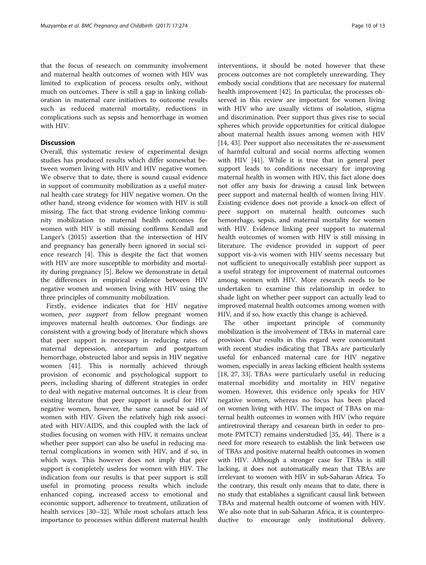that the focus of research on community involvement and maternal health outcomes of women with HIV was limited to explication of process results only, without much on outcomes. There is still a gap in linking collaboration in maternal care initiatives to outcome results such as reduced maternal mortality, reductions in complications such as sepsis and hemorrhage in women with HIV.

## **Discussion**

Overall, this systematic review of experimental design studies has produced results which differ somewhat between women living with HIV and HIV negative women. We observe that to date, there is sound causal evidence in support of community mobilization as a useful maternal health care strategy for HIV negative women. On the other hand, strong evidence for women with HIV is still missing. The fact that strong evidence linking community mobilization to maternal health outcomes for women with HIV is still missing confirms Kendall and Langer's (2015) assertion that the intersection of HIV and pregnancy has generally been ignored in social science research [[4\]](#page-11-0). This is despite the fact that women with HIV are more susceptible to morbidity and mortality during pregnancy [[5\]](#page-11-0). Below we demonstrate in detail the differences in empirical evidence between HIV negative women and women living with HIV using the three principles of community mobilization.

Firstly, evidence indicates that for HIV negative women, peer support from fellow pregnant women improves maternal health outcomes. Our findings are consistent with a growing body of literature which shows that peer support is necessary in reducing rates of maternal depression, antepartum and postpartum hemorrhage, obstructed labor and sepsis in HIV negative women [\[41](#page-11-0)]. This is normally achieved through provision of economic and psychological support to peers, including sharing of different strategies in order to deal with negative maternal outcomes. It is clear from existing literature that peer support is useful for HIV negative women, however, the same cannot be said of women with HIV. Given the relatively high risk associated with HIV/AIDS, and this coupled with the lack of studies focusing on women with HIV, it remains unclear whether peer support can also be useful in reducing maternal complications in women with HIV, and if so, in which ways. This however does not imply that peer support is completely useless for women with HIV. The indication from our results is that peer support is still useful in promoting process results which include enhanced coping, increased access to emotional and economic support, adherence to treatment, utilization of health services [\[30](#page-11-0)–[32\]](#page-11-0). While most scholars attach less importance to processes within different maternal health

interventions, it should be noted however that these process outcomes are not completely unrewarding. They embody social conditions that are necessary for maternal health improvement [[42\]](#page-11-0). In particular, the processes observed in this review are important for women living with HIV who are usually victims of isolation, stigma and discrimination. Peer support thus gives rise to social spheres which provide opportunities for critical dialogue about maternal health issues among women with HIV [[14,](#page-11-0) [43\]](#page-12-0). Peer support also necessitates the re-assessment of harmful cultural and social norms affecting women with HIV [\[41](#page-11-0)]. While it is true that in general peer support leads to conditions necessary for improving maternal health in women with HIV, this fact alone does not offer any basis for drawing a causal link between peer support and maternal health of women living HIV. Existing evidence does not provide a knock-on effect of peer support on maternal health outcomes such hemorrhage, sepsis, and maternal mortality for women with HIV. Evidence linking peer support to maternal health outcomes of women with HIV is still missing in literature. The evidence provided in support of peer support vis-à-vis women with HIV seems necessary but not sufficient to unequivocally establish peer support as a useful strategy for improvement of maternal outcomes among women with HIV. More research needs to be undertaken to examine this relationship in order to shade light on whether peer support can actually lead to improved maternal health outcomes among women with HIV, and if so, how exactly this change is achieved.

The other important principle of community mobilization is the involvement of TBAs in maternal care provision. Our results in this regard were concomitant with recent studies indicating that TBAs are particularly useful for enhanced maternal care for HIV negative women, especially in areas lacking efficient health systems [[18](#page-11-0), [27](#page-11-0), [33](#page-11-0)]. TBAs were particularly useful in reducing maternal morbidity and mortality in HIV negative women. However, this evidence only speaks for HIV negative women, whereas no focus has been placed on women living with HIV. The impact of TBAs on maternal health outcomes in women with HIV (who require antiretroviral therapy and cesarean birth in order to promote PMTCT) remains understudied [[35](#page-11-0), [44\]](#page-12-0). There is a need for more research to establish the link between use of TBAs and positive maternal health outcomes in women with HIV. Although a stronger case for TBAs is still lacking, it does not automatically mean that TBAs are irrelevant to women with HIV in sub-Saharan Africa. To the contrary, this result only means that to date, there is no study that establishes a significant causal link between TBAs and maternal health outcome of women with HIV. We also note that in sub-Saharan Africa, it is counterproductive to encourage only institutional delivery.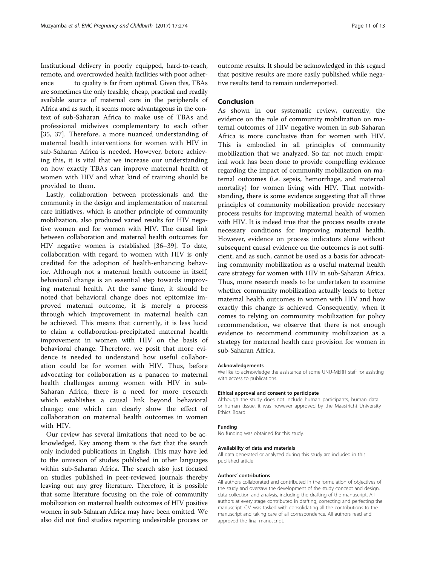Institutional delivery in poorly equipped, hard-to-reach, remote, and overcrowded health facilities with poor adherence to quality is far from optimal. Given this, TBAs are sometimes the only feasible, cheap, practical and readily available source of maternal care in the peripherals of Africa and as such, it seems more advantageous in the context of sub-Saharan Africa to make use of TBAs and professional midwives complementary to each other [[35, 37\]](#page-11-0). Therefore, a more nuanced understanding of maternal health interventions for women with HIV in sub-Saharan Africa is needed. However, before achieving this, it is vital that we increase our understanding on how exactly TBAs can improve maternal health of women with HIV and what kind of training should be provided to them.

Lastly, collaboration between professionals and the community in the design and implementation of maternal care initiatives, which is another principle of community mobilization, also produced varied results for HIV negative women and for women with HIV. The causal link between collaboration and maternal health outcomes for HIV negative women is established [\[36](#page-11-0)–[39](#page-11-0)]. To date, collaboration with regard to women with HIV is only credited for the adoption of health-enhancing behavior. Although not a maternal health outcome in itself, behavioral change is an essential step towards improving maternal health. At the same time, it should be noted that behavioral change does not epitomize improved maternal outcome, it is merely a process through which improvement in maternal health can be achieved. This means that currently, it is less lucid to claim a collaboration-precipitated maternal health improvement in women with HIV on the basis of behavioral change. Therefore, we posit that more evidence is needed to understand how useful collaboration could be for women with HIV. Thus, before advocating for collaboration as a panacea to maternal health challenges among women with HIV in sub-Saharan Africa, there is a need for more research which establishes a causal link beyond behavioral change; one which can clearly show the effect of collaboration on maternal health outcomes in women with HIV.

Our review has several limitations that need to be acknowledged. Key among them is the fact that the search only included publications in English. This may have led to the omission of studies published in other languages within sub-Saharan Africa. The search also just focused on studies published in peer-reviewed journals thereby leaving out any grey literature. Therefore, it is possible that some literature focusing on the role of community mobilization on maternal health outcomes of HIV positive women in sub-Saharan Africa may have been omitted. We also did not find studies reporting undesirable process or outcome results. It should be acknowledged in this regard that positive results are more easily published while negative results tend to remain underreported.

## Conclusion

As shown in our systematic review, currently, the evidence on the role of community mobilization on maternal outcomes of HIV negative women in sub-Saharan Africa is more conclusive than for women with HIV. This is embodied in all principles of community mobilization that we analyzed. So far, not much empirical work has been done to provide compelling evidence regarding the impact of community mobilization on maternal outcomes (i.e. sepsis, hemorrhage, and maternal mortality) for women living with HIV. That notwithstanding, there is some evidence suggesting that all three principles of community mobilization provide necessary process results for improving maternal health of women with HIV. It is indeed true that the process results create necessary conditions for improving maternal health. However, evidence on process indicators alone without subsequent causal evidence on the outcomes is not sufficient, and as such, cannot be used as a basis for advocating community mobilization as a useful maternal health care strategy for women with HIV in sub-Saharan Africa. Thus, more research needs to be undertaken to examine whether community mobilization actually leads to better maternal health outcomes in women with HIV and how exactly this change is achieved. Consequently, when it comes to relying on community mobilization for policy recommendation, we observe that there is not enough evidence to recommend community mobilization as a strategy for maternal health care provision for women in sub-Saharan Africa.

#### Acknowledgements

We like to acknowledge the assistance of some UNU-MERIT staff for assisting with access to publications.

#### Ethical approval and consent to participate

Although the study does not include human participants, human data or human tissue, it was however approved by the Maastricht University Ethics Board.

#### Funding

No funding was obtained for this study.

#### Availability of data and materials

All data generated or analyzed during this study are included in this published article

#### Authors' contributions

All authors collaborated and contributed in the formulation of objectives of the study and oversaw the development of the study concept and design, data collection and analysis, including the drafting of the manuscript. All authors at every stage contributed in drafting, correcting and perfecting the manuscript. CM was tasked with consolidating all the contributions to the manuscript and taking care of all correspondence. All authors read and approved the final manuscript.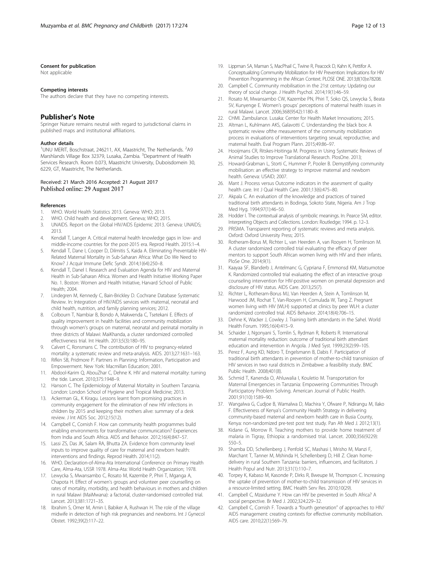#### <span id="page-11-0"></span>Consent for publication

Not applicable

#### Competing interests

The authors declare that they have no competing interests.

### Publisher's Note

Springer Nature remains neutral with regard to jurisdictional claims in published maps and institutional affiliations.

#### Author details

<sup>1</sup>UNU MERIT, Boschstraat, 246211, AX, Maastricht, The Netherlands. <sup>2</sup>A9 Marshlands Village Box 32379, Lusaka, Zambia. <sup>3</sup>Department of Health Services Research. Room 0.073, Maastricht University, Duboisdomein 30, 6229, GT, Maastricht, The Netherlands.

### Received: 21 March 2016 Accepted: 21 August 2017 Published online: 29 August 2017

### References

- 1. WHO. World Health Statistics 2013. Geneva: WHO; 2013.
- 2. WHO. Child health and development. Geneva; WHO; 2015.
- 3. UNAIDS. Report on the Global HIV/AIDS Epidemic 2013. Geneva: UNAIDS; 2013.
- 4. Kendall T, Langer A. Critical maternal health knowledge gaps in low- and middle-income countries for the post-2015 era. Reprod Health. 2015:1–4.
- 5. Kendall T, Dane I, Cooper D, Dilmitis S, Kaida A. Eliminating Preventable HIV-Related Maternal Mortality in Sub-Saharan Africa: What Do We Need to Know? J Acquir Immune Defic Syndr. 2014;1(64):250–8.
- 6. Kendall T, Danel I. Research and Evaluation Agenda for HIV and Maternal Health in Sub-Saharan Africa. Women and Health Initiative Working Paper No. 1. Boston: Women and Health Initiative, Harvard School of Public Health; 2004.
- 7. Lindegren M, Kennedy C, Bain-Brickley D. Cochrane Database Systematic Review. In: Integration of HIV/AIDS services with maternal, neonatal and child health, nutrition, and family planning services; 2012.
- 8. Colbourn T, Nambiar B, Bondo A, Makwenda C, Tsetekani E. Effects of quality improvement in health facilities and community mobilization through women's groups on maternal, neonatal and perinatal mortality in three districts of Malawi: MaiKhanda, a cluster randomized controlled effectiveness trial. Int Health. 2013;5(3):180–95.
- 9. Calvert C, Ronsmans C. The contribution of HIV to pregnancy-related mortality: a systematic review and meta-analysis. AIDS. 2013;27:1631–163.
- 10. Rifkin SB, Pridmore P. Partners in Planning: Information, Participation and Empowerment. New York: Macmillan Education; 2001.
- 11. Abdool-Karim Q, AbouZhar C, Dehne K. HIV and maternal mortality: turning the tide. Lancet. 2010;375:1948–9.
- 12. Hanson C. The Epidemiology of Maternal Mortality in Southern Tanzania. London: London School of Hygiene and Tropical Medicine; 2013.
- 13. Ackerman GL, K Kiragu. Lessons learnt from promising practices in community engagement for the elimination of new HIV infections in children by 2015 and keeping their mothers alive: summary of a desk review. J Int AIDS Soc. 2012;15(12).
- 14. Campbell C, Cornish F. How can community health programmes build enabling environments for transformative communication? Experiences from India and South Africa. AIDS and Behavior. 2012;16(4):847–57.
- 15. Lassi ZS, Das JK, Salam RA, Bhutta ZA. Evidence from community level inputs to improve quality of care for maternal and newborn health: interventions and findings. Reprod Health. 2014;11(2).
- 16. WHO. Declaration-of-Alma-Ata International Conference on Primary Health Care, Alma-Ata, USSR 1978. Alma-Ata: World Health Organization; 1978.
- 17. Lewycka S, Mwansambo C, Rosato M, Kazembe P, Phiri T, Mganga A, Chapota H. Effect of women's groups and volunteer peer counselling on rates of mortality, morbidity, and health behaviours in mothers and children in rural Malawi (MaiMwana): a factorial, cluster-randomised controlled trial. Lancet. 2013;381:1721–35.
- 18. Ibrahim S, Omer M, Amin I, Babiker A, Rushwan H. The role of the village midwife in detection of high risk pregnancies and newborns. Int J Gynecol Obstet. 1992;39(2):117–22.
- 19. Lippman SA, Maman S, MacPhail C, Twine R, Peacock D, Kahn K, Pettifor A.
- Conceptualizing Community Mobilization for HIV Prevention: Implications for HIV Prevention Programming in the African Context. PLOSE ONE. 2013;8(10):e78208.
- 20. Campbell C. Community mobilisation in the 21st century: Updating our theory of social change. J Health Psychol. 2014;19(1):46–59.
- 21. Rosato M, Mwansambo CW, Kazembe PN, Phiri T, Soko QS, Lewycka S, Beata SV, Kunyenge E. Women's groups' perceptions of maternal health issues in rural Malawi. Lancet. 2006;368(9542):1180–8.
- 22. CHMI. Zambulance. Lusaka: Center for Health Market Innovations; 2015.
- 23. Altman L, Kuhlmann AKS, Galavotti C. Understanding the black box: A systematic review ofthe measurement of the community mobilization process in evaluations of interventions targeting sexual, reproductive, and maternal health. Eval Program Plann. 2015;49:86–97.
- 24. Hooijmans CR, Ritskes-Hoitinga M. Progress in Using Systematic Reviews of Animal Studies to Improve Translational Research. PlosOne. 2013;
- 25. Howard-Grabman L, Storti C, Hummer P, Pooler B. Demystifying community mobilisation: an effective strategy to improve maternal and newborn health. Geneva: USAID; 2007.
- 26. Mant J. Process versus Outcome indicators in the assesment of quality health care. Int J Qual Health Care. 2001;13(6):475–80.
- 27. Akpala C. An evaluation of the knowledge and practices of trained traditional birth attendants in Bodinga, Sokoto State, Nigeria. Am J Trop Med Hyg. 1994;97(1):46–50.
- 28. Hodder I. The contextual analysis of symbolic meanings. In: Pearce SM, editor. Interpreting Objects and Collections. London: Routledge; 1994. p. 12–3.
- 29. PRISMA. Transparent reporting of systematic reviews and meta analysis. Oxford: Oxford University Press; 2015.
- 30. Rotheram-Borus M, Richter L, van Heerden A, van Rooyen H, Tomlinson M. A cluster randomized controlled trial evaluating the efficacy of peer mentors to support South African women living with HIV and their infants. PloSe One. 2014;9(1).
- 31. Kaayaa SF, Blanderb J, Antelmanc G, Cypriana F, Emmonsd KM, Matsumotoe K. Randomized controlled trial evaluating the effect of an interactive group counseling intervention for HIV-positive women on prenatal depression and disclosure of HIV status. AIDS Care. 2013;25(7).
- 32. Richter L, Rotheram-Borus MJ, Van Heerden A, Stein A, Tomlinson M, Harwood JM, Rochat T, Van-Rooyen H, Comulada W, Tang Z. Pregnant women living with HIV (WLH) supported at clinics by peer WLH: a cluster randomized controlled trial. AIDS Behavior. 2014;18(4):706–15.
- 33. Dehne K, Wacker J, Cowley J. Training birth attendants in the Sahel. World Health Forum. 1995;16(4):415–9.
- 34. Schaider J, Ngonyani S, Tomlin S, Rydman R, Roberts R. International maternal mortality reduction: outcome of traditional birth attendant education and intervention in Angola. J Med Syst. 1999;23(2):99–105.
- 35. Perez F, Aung KD, Ndoro T, Engelsmann B, Dabis F. Participation of traditional birth attendants in prevention of mother-to-child transmission of HIV services in two rural districts in Zimbabwe: a feasibility study. BMC Public Health. 2008;401(8).
- 36. Schmid T, Kanenda O, Ahluwalia I, Kouletio M. Transportation for Maternal Emergencies in Tanzania: Empowering Communities Through Participatory Problem Solving. American Journal of Public Health. 2001;91(10):1589–90.
- 37. Wangalwa G, Cudjoe B, Wamalwa D, Machira Y, Ofware P, Ndirangu M, Ilako F. Effectiveness of Kenya's Community Health Strategy in delivering community-based maternal and newborn health care in Busia County, Kenya: non-randomized pre-test post test study. Pan Afr Med J. 2012;13(1).
- 38. Kidane G, Morrow R. Teaching mothers to provide home treatment of malaria in Tigray, Ethiopia: a randomised trial. Lancet. 2000;356(9229): 550–5.
- 39. Shamba DD, Schellenberg J, Penfold SC, Mashasi I, Mrisho M, Manzi F, Marchant T, Tanner M, Mshinda H, Schellenberg D, Hill Z. Clean homedelivery in rural Southern Tanzania: barriers, influencers, and facilitators. J Health Popul and Nutr. 2013;31(1):110–7.
- 40. Torpey K, Kabaso M, Kasonde P, Dirks R, Bweupe M, Thompson C. Increasing the uptake of prevention of mother-to-child transmission of HIV services in a resource-limited setting. BMC Health Serv Res. 2010;10(29).
- 41. Campbell C, Mzaidume Y. How can HIV be prevented in South Africa? A social perspective. Br Med J. 2002;324:229–32.
- 42. Campbell C, Cornish F. Towards a "fourth generation" of approaches to HIV/ AIDS management: creating contexts for effective community mobilisation. AIDS care. 2010;22(1):569–79.